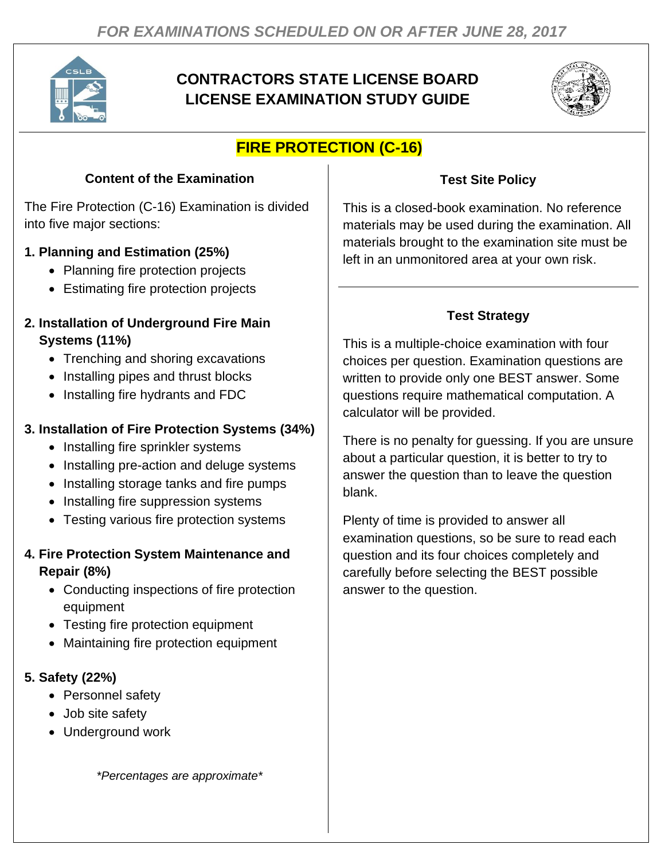

# **CONTRACTORS STATE LICENSE BOARD LICENSE EXAMINATION STUDY GUIDE**



# **FIRE PROTECTION (C-16)**

# **Content of the Examination**

The Fire Protection (C-16) Examination is divided into five major sections:

### **1. Planning and Estimation (25%)**

- Planning fire protection projects
- Estimating fire protection projects

#### **2. Installation of Underground Fire Main Systems (11%)**

- Trenching and shoring excavations
- Installing pipes and thrust blocks
- Installing fire hydrants and FDC

### **3. Installation of Fire Protection Systems (34%)**

- Installing fire sprinkler systems
- Installing pre-action and deluge systems
- Installing storage tanks and fire pumps
- Installing fire suppression systems
- Testing various fire protection systems

### **4. Fire Protection System Maintenance and Repair (8%)**

- Conducting inspections of fire protection equipment
- Testing fire protection equipment
- Maintaining fire protection equipment

#### **5. Safety (22%)**

- Personnel safety
- Job site safety
- Underground work

*\*Percentages are approximate\**

## **Test Site Policy**

This is a closed-book examination. No reference materials may be used during the examination. All materials brought to the examination site must be left in an unmonitored area at your own risk.

# **Test Strategy**

This is a multiple-choice examination with four choices per question. Examination questions are written to provide only one BEST answer. Some questions require mathematical computation. A calculator will be provided.

There is no penalty for guessing. If you are unsure about a particular question, it is better to try to answer the question than to leave the question blank.

Plenty of time is provided to answer all examination questions, so be sure to read each question and its four choices completely and carefully before selecting the BEST possible answer to the question.